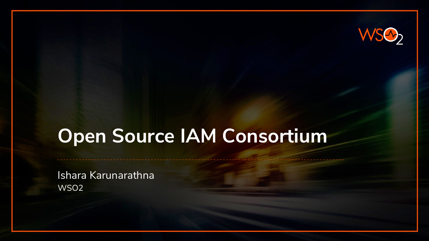

# **Open Source IAM Consortium**

Ishara Karunarathna WSO2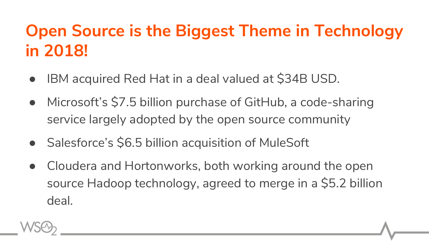# **Open Source is the Biggest Theme in Technology in 2018!**

- IBM acquired Red Hat in a deal valued at \$34B USD.
- Microsoft's \$7.5 billion purchase of GitHub, a code-sharing service largely adopted by the open source community
- Salesforce's \$6.5 billion acquisition of MuleSoft
- Cloudera and Hortonworks, both working around the open source Hadoop technology, agreed to merge in a \$5.2 billion deal.

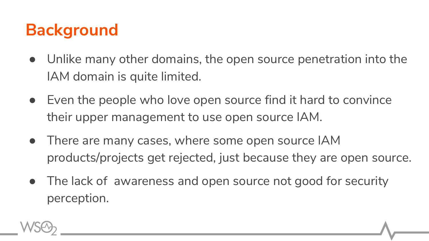### **Background**

- Unlike many other domains, the open source penetration into the IAM domain is quite limited.
- Even the people who love open source find it hard to convince their upper management to use open source IAM.
- There are many cases, where some open source IAM products/projects get rejected, just because they are open source.
- The lack of awareness and open source not good for security perception.

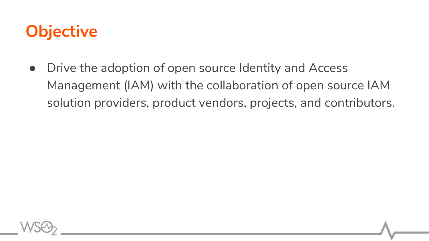#### **Objective**

• Drive the adoption of open source Identity and Access Management (IAM) with the collaboration of open source IAM solution providers, product vendors, projects, and contributors.

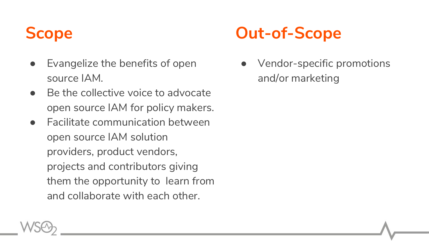- Evangelize the benefits of open source IAM.
- $\bullet$  Be the collective voice to advocate open source IAM for policy makers.
- **Facilitate communication between** open source IAM solution providers, product vendors, projects and contributors giving them the opportunity to learn from and collaborate with each other.

#### **Scope Out-of-Scope**

● Vendor-specific promotions and/or marketing

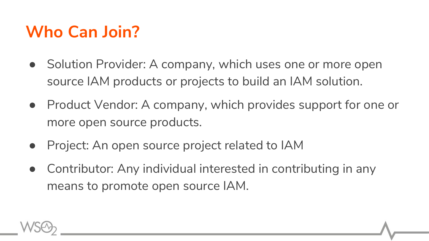# **Who Can Join?**

- Solution Provider: A company, which uses one or more open source IAM products or projects to build an IAM solution.
- Product Vendor: A company, which provides support for one or more open source products.
- Project: An open source project related to IAM
- Contributor: Any individual interested in contributing in any means to promote open source IAM.

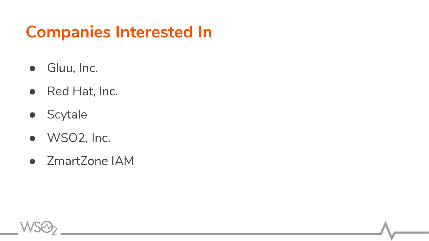#### **Companies Interested In**

- Gluu, Inc.
- Red Hat, Inc.
- Scytale
- WSO2, Inc.
- ZmartZone IAM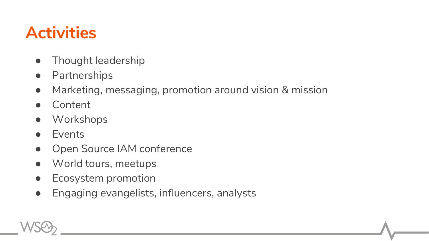### **Activities**

- Thought leadership
- Partnerships
- Marketing, messaging, promotion around vision & mission
- **Content**
- Workshops
- Events
- Open Source IAM conference
- World tours, meetups
- Ecosystem promotion
- Engaging evangelists, influencers, analysts

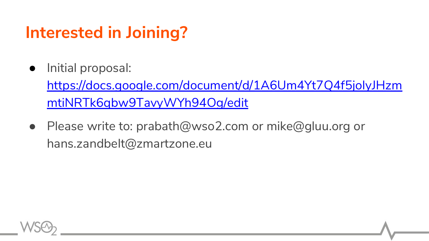### **Interested in Joining?**

● Initial proposal:

[https://docs.google.com/document/d/1A6Um4Yt7Q4f5joIyJHzm](https://docs.google.com/document/d/1A6Um4Yt7Q4f5joIyJHzmmtiNRTk6qbw9TavyWYh94Og/edit) [mtiNRTk6qbw9TavyWYh94Og/edit](https://docs.google.com/document/d/1A6Um4Yt7Q4f5joIyJHzmmtiNRTk6qbw9TavyWYh94Og/edit)

● Please write to: prabath@wso2.com or mike@gluu.org or hans.zandbelt@zmartzone.eu